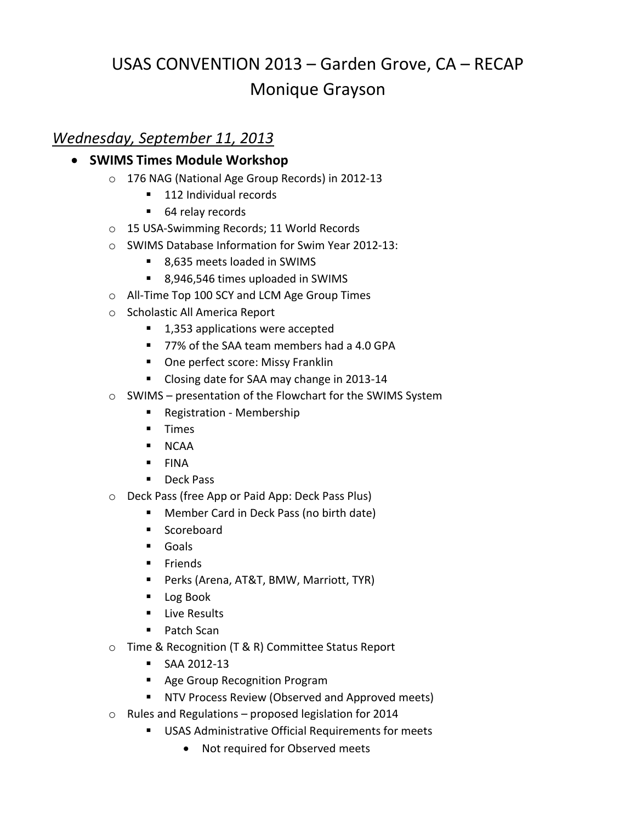# USAS CONVENTION 2013 – Garden Grove, CA – RECAP Monique Grayson

# *Wednesday, September 11, 2013*

## **• SWIMS Times Module Workshop**

- o 176 NAG (National Age Group Records) in 2012-13
	- 112 Individual records
	- 64 relay records
- o 15 USA-Swimming Records; 11 World Records
- o SWIMS Database Information for Swim Year 2012-13:
	- 8,635 meets loaded in SWIMS
	- 8,946,546 times uploaded in SWIMS
- o All-Time Top 100 SCY and LCM Age Group Times
- o Scholastic All America Report
	- 1,353 applications were accepted
	- 77% of the SAA team members had a 4.0 GPA
	- **Diam** One perfect score: Missy Franklin
	- **Closing date for SAA may change in 2013-14**
- o SWIMS presentation of the Flowchart for the SWIMS System
	- **Registration Membership**
	- **Times**
	- **NCAA**
	- $FINA$
	- **Deck Pass**
- o Deck Pass (free App or Paid App: Deck Pass Plus)
	- Member Card in Deck Pass (no birth date)
	- **Scoreboard**
	- **Goals**
	- **Friends**
	- Perks (Arena, AT&T, BMW, Marriott, TYR)
	- Log Book
	- **Live Results**
	- Patch Scan
- o Time & Recognition (T & R) Committee Status Report
	- SAA 2012-13
	- **Age Group Recognition Program**
	- **NTV Process Review (Observed and Approved meets)**
- o Rules and Regulations proposed legislation for 2014
	- **USAS Administrative Official Requirements for meets** 
		- Not required for Observed meets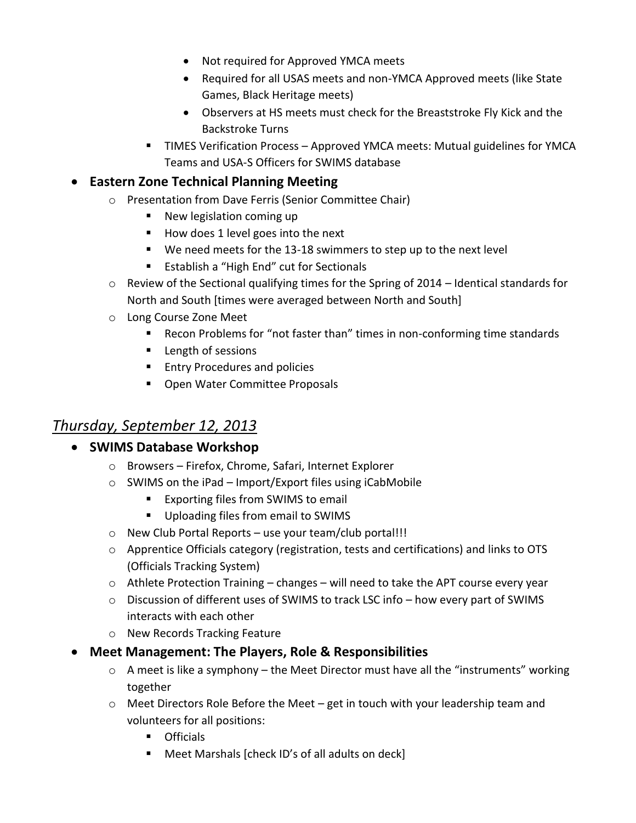- Not required for Approved YMCA meets
- Required for all USAS meets and non-YMCA Approved meets (like State Games, Black Heritage meets)
- Observers at HS meets must check for the Breaststroke Fly Kick and the Backstroke Turns
- **TIMES Verification Process Approved YMCA meets: Mutual guidelines for YMCA** Teams and USA-S Officers for SWIMS database

## **Eastern Zone Technical Planning Meeting**

- o Presentation from Dave Ferris (Senior Committee Chair)
	- **New legislation coming up**
	- $\blacksquare$  How does 1 level goes into the next
	- We need meets for the 13-18 swimmers to step up to the next level
	- **E** Establish a "High End" cut for Sectionals
- o Review of the Sectional qualifying times for the Spring of 2014 Identical standards for North and South [times were averaged between North and South]
- o Long Course Zone Meet
	- Recon Problems for "not faster than" times in non-conforming time standards
	- **Length of sessions**
	- **Entry Procedures and policies**
	- **Diamage 1 Diama Water Committee Proposals**

# *Thursday, September 12, 2013*

#### **• SWIMS Database Workshop**

- o Browsers Firefox, Chrome, Safari, Internet Explorer
- o SWIMS on the iPad Import/Export files using iCabMobile
	- **Exporting files from SWIMS to email**
	- **Uploading files from email to SWIMS**
- o New Club Portal Reports use your team/club portal!!!
- o Apprentice Officials category (registration, tests and certifications) and links to OTS (Officials Tracking System)
- o Athlete Protection Training changes will need to take the APT course every year
- o Discussion of different uses of SWIMS to track LSC info how every part of SWIMS interacts with each other
- o New Records Tracking Feature
- **Meet Management: The Players, Role & Responsibilities**
	- o A meet is like a symphony the Meet Director must have all the "instruments" working together
	- $\circ$  Meet Directors Role Before the Meet get in touch with your leadership team and volunteers for all positions:
		- **Officials**
		- Meet Marshals [check ID's of all adults on deck]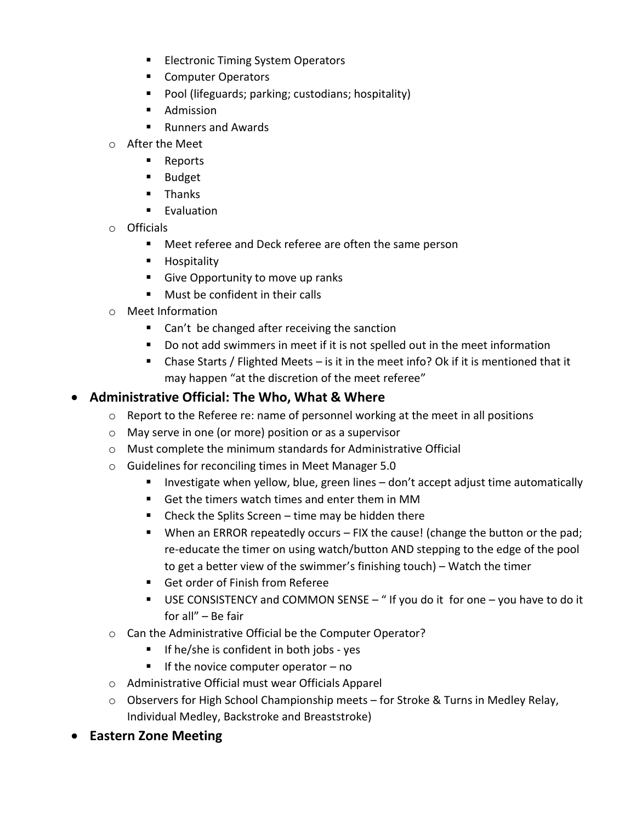- **Electronic Timing System Operators**
- Computer Operators
- **Pool (lifeguards; parking; custodians; hospitality)**
- **Admission**
- Runners and Awards
- o After the Meet
	- **Reports**
	- **Budget**
	- $\blacksquare$  Thanks
	- **Evaluation**
- o Officials
	- Meet referee and Deck referee are often the same person
	- **Hospitality**
	- Give Opportunity to move up ranks
	- **Must be confident in their calls**
- o Meet Information
	- Can't be changed after receiving the sanction
	- Do not add swimmers in meet if it is not spelled out in the meet information
	- Chase Starts / Flighted Meets is it in the meet info? Ok if it is mentioned that it may happen "at the discretion of the meet referee"

#### **Administrative Official: The Who, What & Where**

- o Report to the Referee re: name of personnel working at the meet in all positions
- o May serve in one (or more) position or as a supervisor
- o Must complete the minimum standards for Administrative Official
- o Guidelines for reconciling times in Meet Manager 5.0
	- **IF** Investigate when yellow, blue, green lines don't accept adjust time automatically
	- Get the timers watch times and enter them in MM
	- $\blacksquare$  Check the Splits Screen time may be hidden there
	- When an ERROR repeatedly occurs FIX the cause! (change the button or the pad; re-educate the timer on using watch/button AND stepping to the edge of the pool to get a better view of the swimmer's finishing touch) – Watch the timer
	- Get order of Finish from Referee
	- USE CONSISTENCY and COMMON SENSE "If you do it for one you have to do it for all" – Be fair
- o Can the Administrative Official be the Computer Operator?
	- $\blacksquare$  If he/she is confident in both jobs yes
	- If the novice computer operator  $-$  no
- o Administrative Official must wear Officials Apparel
- $\circ$  Observers for High School Championship meets for Stroke & Turns in Medley Relay, Individual Medley, Backstroke and Breaststroke)
- **Eastern Zone Meeting**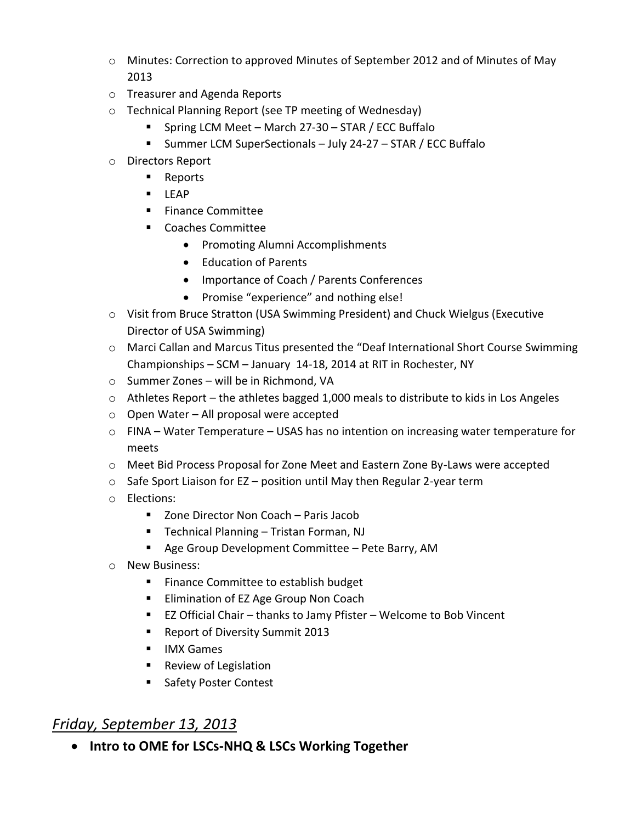- o Minutes: Correction to approved Minutes of September 2012 and of Minutes of May 2013
- o Treasurer and Agenda Reports
- o Technical Planning Report (see TP meeting of Wednesday)
	- Spring LCM Meet March 27-30 STAR / ECC Buffalo
	- Summer LCM SuperSectionals July 24-27 STAR / ECC Buffalo
- o Directors Report
	- Reports
	- $LEAP$
	- **Finance Committee**
	- Coaches Committee
		- Promoting Alumni Accomplishments
		- Education of Parents
		- Importance of Coach / Parents Conferences
		- Promise "experience" and nothing else!
- o Visit from Bruce Stratton (USA Swimming President) and Chuck Wielgus (Executive Director of USA Swimming)
- o Marci Callan and Marcus Titus presented the "Deaf International Short Course Swimming Championships – SCM – January 14-18, 2014 at RIT in Rochester, NY
- o Summer Zones will be in Richmond, VA
- o Athletes Report the athletes bagged 1,000 meals to distribute to kids in Los Angeles
- o Open Water All proposal were accepted
- $\circ$  FINA Water Temperature USAS has no intention on increasing water temperature for meets
- o Meet Bid Process Proposal for Zone Meet and Eastern Zone By-Laws were accepted
- $\circ$  Safe Sport Liaison for EZ position until May then Regular 2-year term
- o Elections:
	- Zone Director Non Coach Paris Jacob
	- Technical Planning Tristan Forman, NJ
	- **Age Group Development Committee Pete Barry, AM**
- o New Business:
	- **Finance Committee to establish budget**
	- **Elimination of EZ Age Group Non Coach**
	- EZ Official Chair thanks to Jamy Pfister Welcome to Bob Vincent
	- **Report of Diversity Summit 2013**
	- **IMX Games**
	- **Review of Legislation**
	- Safety Poster Contest

# *Friday, September 13, 2013*

**Intro to OME for LSCs-NHQ & LSCs Working Together**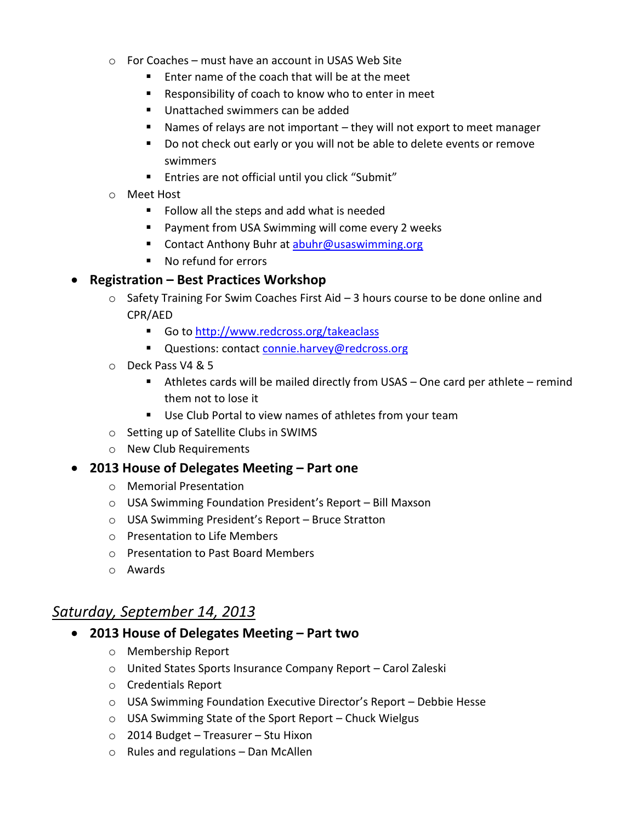- $\circ$  For Coaches must have an account in USAS Web Site
	- $\blacksquare$  Enter name of the coach that will be at the meet
	- Responsibility of coach to know who to enter in meet
	- Unattached swimmers can be added
	- Names of relays are not important they will not export to meet manager
	- Do not check out early or you will not be able to delete events or remove swimmers
	- Entries are not official until you click "Submit"
- o Meet Host
	- Follow all the steps and add what is needed
	- **Payment from USA Swimming will come every 2 weeks**
	- Contact Anthony Buhr at [abuhr@usaswimming.org](mailto:abuhr@usaswimming.org)
	- No refund for errors

#### **Registration – Best Practices Workshop**

- $\circ$  Safety Training For Swim Coaches First Aid  $-3$  hours course to be done online and CPR/AED
	- Go to<http://www.redcross.org/takeaclass>
	- Questions: contac[t connie.harvey@redcross.org](mailto:connie.harvey@redcross.org)
- o Deck Pass V4 & 5
	- Athletes cards will be mailed directly from USAS One card per athlete remind them not to lose it
	- Use Club Portal to view names of athletes from your team
- o Setting up of Satellite Clubs in SWIMS
- o New Club Requirements
- **2013 House of Delegates Meeting – Part one**
	- o Memorial Presentation
	- o USA Swimming Foundation President's Report Bill Maxson
	- o USA Swimming President's Report Bruce Stratton
	- o Presentation to Life Members
	- o Presentation to Past Board Members
	- o Awards

## *Saturday, September 14, 2013*

- **2013 House of Delegates Meeting – Part two**
	- o Membership Report
	- o United States Sports Insurance Company Report Carol Zaleski
	- o Credentials Report
	- o USA Swimming Foundation Executive Director's Report Debbie Hesse
	- o USA Swimming State of the Sport Report Chuck Wielgus
	- o 2014 Budget Treasurer Stu Hixon
	- $\circ$  Rules and regulations Dan McAllen